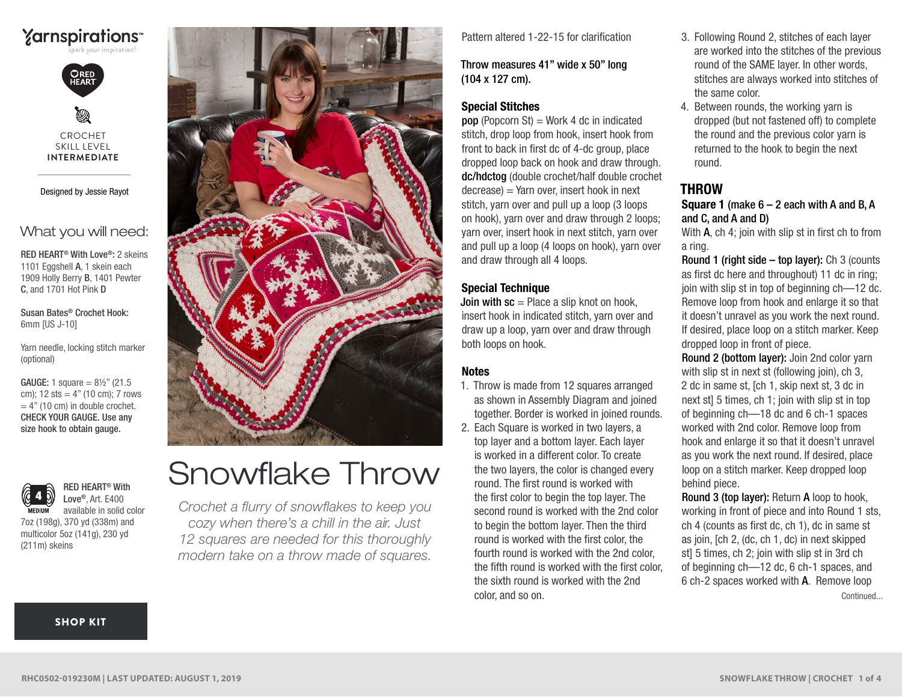# **Yarnspirations**



CROCHET SKILL LEVEL **INTERMEDIATE**

Designed by Jessie Rayot

# What you will need:

RED HEART® With Love®: 2 skeins 1101 Eggshell A, 1 skein each 1909 Holly Berry B, 1401 Pewter C, and 1701 Hot Pink D

Susan Bates® Crochet Hook: 6mm [US J-10]

Yarn needle, locking stitch marker (optional)

cm);  $12 \text{ sts} = 4"$  (10 cm); 7 rows  $= 4"$  (10 cm) in double crochet. CHECK YOUR GAUGE. Use any size hook to obtain gauge. **GAUGE:** 1 square =  $8\frac{1}{2}$  (21.5)



available in solid color 7oz (198g), 370 yd (338m) and multicolor 5oz (141g), 230 yd (211m) skeins

RED HEART® With Love®, Art. E400



# Snowflake Throw

*Crochet a flurry of snowflakes to keep you cozy when there's a chill in the air. Just 12 squares are needed for this thoroughly modern take on a throw made of squares.*

Pattern altered 1-22-15 for clarification

Throw measures 41" wide x 50" long (104 x 127 cm).

## Special Stitches

**pop** (Popcorn St) = Work 4 dc in indicated stitch, drop loop from hook, insert hook from front to back in first dc of 4-dc group, place dropped loop back on hook and draw through. dc/hdctog (double crochet/half double crochet  $decrease$ ) = Yarn over, insert hook in next stitch, yarn over and pull up a loop (3 loops on hook), yarn over and draw through 2 loops; yarn over, insert hook in next stitch, yarn over and pull up a loop (4 loops on hook), yarn over and draw through all 4 loops.

### Special Technique

**Join with**  $sc =$  Place a slip knot on hook, insert hook in indicated stitch, yarn over and draw up a loop, yarn over and draw through both loops on hook.

#### **Notes**

- 1. Throw is made from 12 squares arranged as shown in Assembly Diagram and joined together. Border is worked in joined rounds.
- 2. Each Square is worked in two layers, a top layer and a bottom layer. Each layer is worked in a different color. To create the two layers, the color is changed every round. The first round is worked with the first color to begin the top layer. The second round is worked with the 2nd color to begin the bottom layer. Then the third round is worked with the first color, the fourth round is worked with the 2nd color, the fifth round is worked with the first color, the sixth round is worked with the 2nd color, and so on.
- 3. Following Round 2, stitches of each layer are worked into the stitches of the previous round of the SAME layer. In other words, stitches are always worked into stitches of the same color.
- 4. Between rounds, the working yarn is dropped (but not fastened off) to complete the round and the previous color yarn is returned to the hook to begin the next round.

# **THROW**

**Square 1** (make  $6 - 2$  each with A and B, A and C, and A and D)

With **A**, ch 4; join with slip st in first ch to from a ring.

Round 1 (right side – top layer): Ch 3 (counts as first dc here and throughout) 11 dc in ring; join with slip st in top of beginning ch—12 dc. Remove loop from hook and enlarge it so that it doesn't unravel as you work the next round. If desired, place loop on a stitch marker. Keep dropped loop in front of piece.

Round 2 (bottom layer): Join 2nd color yarn with slip st in next st (following join), ch 3, 2 dc in same st, [ch 1, skip next st, 3 dc in next st] 5 times, ch 1; join with slip st in top of beginning ch—18 dc and 6 ch-1 spaces worked with 2nd color. Remove loop from hook and enlarge it so that it doesn't unravel as you work the next round. If desired, place loop on a stitch marker. Keep dropped loop behind piece.

Round 3 (top layer): Return A loop to hook, working in front of piece and into Round 1 sts, ch 4 (counts as first dc, ch 1), dc in same st as join, [ch 2, (dc, ch 1, dc) in next skipped st] 5 times, ch 2; join with slip st in 3rd ch of beginning ch—12 dc, 6 ch-1 spaces, and 6 ch-2 spaces worked with A. Remove loop Continued...

#### [SHOP KIT](https://www.yarnspirations.com/red-heart-snowflake-throw/RHC0502-019230M.html#utm_source=pdf-yarnspirations&utm_medium=referral&utm_campaign=pdf-RHC0502-019230M)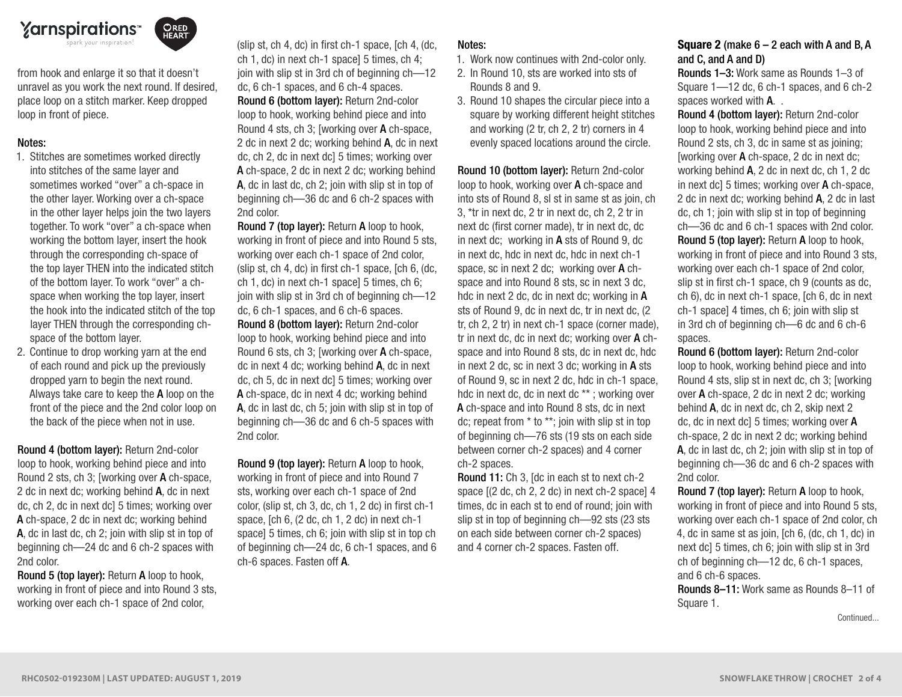

ORED<br>HEART

from hook and enlarge it so that it doesn't unravel as you work the next round. If desired, place loop on a stitch marker. Keep dropped loop in front of piece.

#### Notes:

- 1. Stitches are sometimes worked directly into stitches of the same layer and sometimes worked "over" a ch-space in the other layer. Working over a ch-space in the other layer helps join the two layers together. To work "over" a ch-space when working the bottom layer, insert the hook through the corresponding ch-space of the top layer THEN into the indicated stitch of the bottom layer. To work "over" a chspace when working the top layer, insert the hook into the indicated stitch of the top layer THEN through the corresponding chspace of the bottom layer.
- 2. Continue to drop working yarn at the end of each round and pick up the previously dropped yarn to begin the next round. Always take care to keep the A loop on the front of the piece and the 2nd color loop on the back of the piece when not in use.

Round 4 (bottom layer): Return 2nd-color loop to hook, working behind piece and into Round 2 sts, ch 3; [working over A ch-space, 2 dc in next dc; working behind A, dc in next dc, ch 2, dc in next dc] 5 times; working over A ch-space, 2 dc in next dc; working behind A, dc in last dc, ch 2; join with slip st in top of beginning ch—24 dc and 6 ch-2 spaces with 2nd color.

Round 5 (top layer): Return A loop to hook, working in front of piece and into Round 3 sts, working over each ch-1 space of 2nd color,

(slip st, ch 4, dc) in first ch-1 space, [ch 4, (dc, ch 1, dc) in next ch-1 space] 5 times, ch 4; join with slip st in 3rd ch of beginning ch—12 dc, 6 ch-1 spaces, and 6 ch-4 spaces. Round 6 (bottom layer): Return 2nd-color loop to hook, working behind piece and into Round 4 sts, ch 3; [working over A ch-space, 2 dc in next 2 dc; working behind A, dc in next dc, ch 2, dc in next dc] 5 times; working over A ch-space, 2 dc in next 2 dc; working behind A, dc in last dc, ch 2; join with slip st in top of beginning ch—36 dc and 6 ch-2 spaces with 2nd color.

Round 7 (top layer): Return A loop to hook, working in front of piece and into Round 5 sts, working over each ch-1 space of 2nd color, (slip st, ch 4, dc) in first ch-1 space, [ch 6, (dc, ch 1, dc) in next ch-1 space] 5 times, ch 6; join with slip st in 3rd ch of beginning ch—12 dc, 6 ch-1 spaces, and 6 ch-6 spaces. Round 8 (bottom layer): Return 2nd-color loop to hook, working behind piece and into Round 6 sts, ch 3; [working over A ch-space, dc in next 4 dc; working behind A, dc in next dc, ch 5, dc in next dc] 5 times; working over A ch-space, dc in next 4 dc; working behind A, dc in last dc, ch 5; join with slip st in top of beginning ch—36 dc and 6 ch-5 spaces with 2nd color.

Round 9 (top layer): Return A loop to hook, working in front of piece and into Round 7 sts, working over each ch-1 space of 2nd color, (slip st, ch 3, dc, ch 1, 2 dc) in first ch-1 space, [ch 6, (2 dc, ch 1, 2 dc) in next ch-1 space] 5 times, ch 6; join with slip st in top ch of beginning ch—24 dc, 6 ch-1 spaces, and 6 ch-6 spaces. Fasten off A.

#### Notes:

1. Work now continues with 2nd-color only.

- 2. In Round 10, sts are worked into sts of Rounds 8 and 9.
- 3. Round 10 shapes the circular piece into a square by working different height stitches and working (2 tr, ch 2, 2 tr) corners in 4 evenly spaced locations around the circle.

Round 10 (bottom layer): Return 2nd-color loop to hook, working over A ch-space and

into sts of Round 8, sl st in same st as join, ch 3, \*tr in next dc, 2 tr in next dc, ch 2, 2 tr in next dc (first corner made), tr in next dc, dc in next dc; working in A sts of Round 9, dc in next dc, hdc in next dc, hdc in next ch-1 space, sc in next 2 dc; working over A chspace and into Round 8 sts, sc in next 3 dc, hdc in next 2 dc, dc in next dc; working in A sts of Round 9, dc in next dc, tr in next dc, (2 tr, ch 2, 2 tr) in next ch-1 space (corner made), tr in next dc, dc in next dc; working over A chspace and into Round 8 sts, dc in next dc, hdc in next 2 dc, sc in next 3 dc; working in A sts of Round 9, sc in next 2 dc, hdc in ch-1 space, hdc in next dc, dc in next dc \*\* ; working over A ch-space and into Round 8 sts, dc in next dc; repeat from \* to \*\*; join with slip st in top of beginning ch—76 sts (19 sts on each side between corner ch-2 spaces) and 4 corner ch-2 spaces.

Round 11: Ch 3, [dc in each st to next ch-2 space [(2 dc, ch 2, 2 dc) in next ch-2 space] 4 times, dc in each st to end of round; join with slip st in top of beginning ch—92 sts (23 sts on each side between corner ch-2 spaces) and 4 corner ch-2 spaces. Fasten off.

#### **Square 2** (make  $6 - 2$  each with A and B, A and C, and A and D)

Rounds 1–3: Work same as Rounds 1–3 of Square 1—12 dc, 6 ch-1 spaces, and 6 ch-2 spaces worked with **A**...

Round 4 (bottom layer): Return 2nd-color loop to hook, working behind piece and into Round 2 sts, ch 3, dc in same st as joining; [working over A ch-space, 2 dc in next dc; working behind A, 2 dc in next dc, ch 1, 2 dc in next dc] 5 times; working over A ch-space, 2 dc in next dc; working behind A, 2 dc in last dc, ch 1; join with slip st in top of beginning ch—36 dc and 6 ch-1 spaces with 2nd color. Round 5 (top layer): Return A loop to hook, working in front of piece and into Round 3 sts, working over each ch-1 space of 2nd color, slip st in first ch-1 space, ch 9 (counts as dc, ch 6), dc in next ch-1 space, [ch 6, dc in next ch-1 space] 4 times, ch 6; join with slip st in 3rd ch of beginning ch—6 dc and 6 ch-6 spaces.

Round 6 (bottom layer): Return 2nd-color loop to hook, working behind piece and into Round 4 sts, slip st in next dc, ch 3; [working over A ch-space, 2 dc in next 2 dc; working behind A, dc in next dc, ch 2, skip next 2 dc, dc in next dc] 5 times; working over A ch-space, 2 dc in next 2 dc; working behind A, dc in last dc, ch 2; join with slip st in top of beginning ch—36 dc and 6 ch-2 spaces with 2nd color.

Round 7 (top layer): Return A loop to hook, working in front of piece and into Round 5 sts, working over each ch-1 space of 2nd color, ch 4, dc in same st as join, [ch 6, (dc, ch 1, dc) in next dc] 5 times, ch 6; join with slip st in 3rd ch of beginning ch—12 dc, 6 ch-1 spaces, and 6 ch-6 spaces.

Rounds 8–11: Work same as Rounds 8–11 of Square 1.

Continued...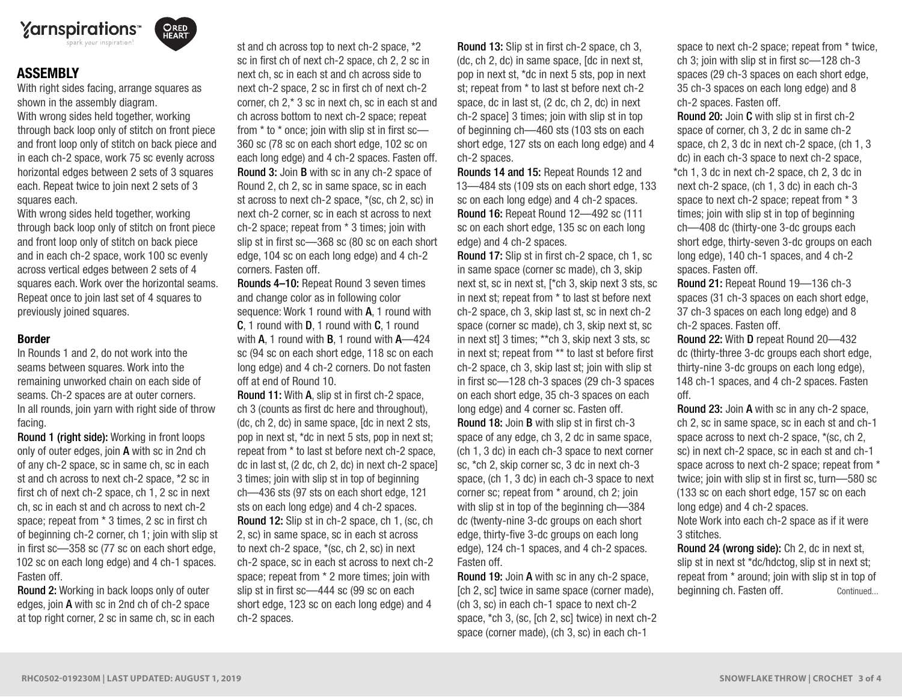

**ORED**<br>HEART

# **ASSEMBLY**

With right sides facing, arrange squares as shown in the assembly diagram.

With wrong sides held together, working through back loop only of stitch on front piece and front loop only of stitch on back piece and in each ch-2 space, work 75 sc evenly across horizontal edges between 2 sets of 3 squares each. Repeat twice to join next 2 sets of 3 squares each.

With wrong sides held together, working through back loop only of stitch on front piece and front loop only of stitch on back piece and in each ch-2 space, work 100 sc evenly across vertical edges between 2 sets of 4 squares each. Work over the horizontal seams. Repeat once to join last set of 4 squares to previously joined squares.

#### Border

In Rounds 1 and 2, do not work into the seams between squares. Work into the remaining unworked chain on each side of seams. Ch-2 spaces are at outer corners. In all rounds, join yarn with right side of throw facing.

Round 1 (right side): Working in front loops only of outer edges, join A with sc in 2nd ch of any ch-2 space, sc in same ch, sc in each st and ch across to next ch-2 space, \*2 sc in first ch of next ch-2 space, ch 1, 2 sc in next ch, sc in each st and ch across to next ch-2 space; repeat from \* 3 times, 2 sc in first ch of beginning ch-2 corner, ch 1; join with slip st in first sc—358 sc (77 sc on each short edge, 102 sc on each long edge) and 4 ch-1 spaces. Fasten off.

Round 2: Working in back loops only of outer edges, join A with sc in 2nd ch of ch-2 space at top right corner, 2 sc in same ch, sc in each

st and ch across top to next ch-2 space, \*2 sc in first ch of next ch-2 space, ch 2, 2 sc in next ch, sc in each st and ch across side to next ch-2 space, 2 sc in first ch of next ch-2 corner, ch 2,\* 3 sc in next ch, sc in each st and ch across bottom to next ch-2 space; repeat from \* to \* once; join with slip st in first sc— 360 sc (78 sc on each short edge, 102 sc on each long edge) and 4 ch-2 spaces. Fasten off. Round 3: Join B with sc in any ch-2 space of Round 2, ch 2, sc in same space, sc in each st across to next ch-2 space, \*(sc, ch 2, sc) in next ch-2 corner, sc in each st across to next ch-2 space; repeat from \* 3 times; join with slip st in first sc—368 sc (80 sc on each short edge, 104 sc on each long edge) and 4 ch-2 corners. Fasten off.

Rounds 4–10: Repeat Round 3 seven times and change color as in following color sequence: Work 1 round with **A**, 1 round with C, 1 round with D, 1 round with C, 1 round with  $A$ , 1 round with  $B$ , 1 round with  $A$ —424 sc (94 sc on each short edge, 118 sc on each long edge) and 4 ch-2 corners. Do not fasten off at end of Round 10.

Round 11: With A, slip st in first ch-2 space, ch 3 (counts as first dc here and throughout), (dc, ch 2, dc) in same space, [dc in next 2 sts, pop in next st, \*dc in next 5 sts, pop in next st; repeat from \* to last st before next ch-2 space, dc in last st, (2 dc, ch 2, dc) in next ch-2 space] 3 times; join with slip st in top of beginning ch—436 sts (97 sts on each short edge, 121 sts on each long edge) and 4 ch-2 spaces. Round 12: Slip st in ch-2 space, ch 1, (sc, ch 2, sc) in same space, sc in each st across to next ch-2 space, \*(sc, ch 2, sc) in next ch-2 space, sc in each st across to next ch-2 space; repeat from \* 2 more times; join with slip st in first sc—444 sc (99 sc on each short edge, 123 sc on each long edge) and 4 ch-2 spaces.

Round 13: Slip st in first ch-2 space, ch 3, (dc, ch 2, dc) in same space, [dc in next st, pop in next st, \*dc in next 5 sts, pop in next st; repeat from \* to last st before next ch-2 space, dc in last st, (2 dc, ch 2, dc) in next ch-2 space] 3 times; join with slip st in top of beginning ch—460 sts (103 sts on each short edge, 127 sts on each long edge) and 4 ch-2 spaces.

Rounds 14 and 15: Repeat Rounds 12 and 13—484 sts (109 sts on each short edge, 133 sc on each long edge) and 4 ch-2 spaces. Round 16: Repeat Round 12—492 sc (111 sc on each short edge, 135 sc on each long edge) and 4 ch-2 spaces.

Round 17: Slip st in first ch-2 space, ch 1, sc in same space (corner sc made), ch 3, skip next st, sc in next st, [\*ch 3, skip next 3 sts, sc in next st; repeat from \* to last st before next ch-2 space, ch 3, skip last st, sc in next ch-2 space (corner sc made), ch 3, skip next st, sc in next st] 3 times; \*\*ch 3, skip next 3 sts, sc in next st; repeat from \*\* to last st before first ch-2 space, ch 3, skip last st; join with slip st in first sc—128 ch-3 spaces (29 ch-3 spaces on each short edge, 35 ch-3 spaces on each long edge) and 4 corner sc. Fasten off. Round 18: Join B with slip st in first ch-3 space of any edge, ch 3, 2 dc in same space, (ch 1, 3 dc) in each ch-3 space to next corner sc, \*ch 2, skip corner sc, 3 dc in next ch-3 space, (ch 1, 3 dc) in each ch-3 space to next corner sc; repeat from \* around, ch 2; join with slip st in top of the beginning ch—384 dc (twenty-nine 3-dc groups on each short edge, thirty-five 3-dc groups on each long edge), 124 ch-1 spaces, and 4 ch-2 spaces. Fasten off.

Round 19: Join A with sc in any ch-2 space, [ch 2, sc] twice in same space (corner made), (ch 3, sc) in each ch-1 space to next ch-2 space, \*ch 3, (sc, [ch 2, sc] twice) in next ch-2 space (corner made), (ch 3, sc) in each ch-1

space to next ch-2 space; repeat from \* twice, ch 3; join with slip st in first sc—128 ch-3 spaces (29 ch-3 spaces on each short edge, 35 ch-3 spaces on each long edge) and 8 ch-2 spaces. Fasten off.

Round 20: Join C with slip st in first ch-2 space of corner, ch 3, 2 dc in same ch-2 space, ch 2, 3 dc in next ch-2 space, (ch 1, 3 dc) in each ch-3 space to next ch-2 space, \*ch 1, 3 dc in next ch-2 space, ch 2, 3 dc in next ch-2 space, (ch 1, 3 dc) in each ch-3 space to next ch-2 space; repeat from \* 3 times; join with slip st in top of beginning ch—408 dc (thirty-one 3-dc groups each short edge, thirty-seven 3-dc groups on each long edge), 140 ch-1 spaces, and 4 ch-2 spaces. Fasten off.

Round 21: Repeat Round 19—136 ch-3 spaces (31 ch-3 spaces on each short edge, 37 ch-3 spaces on each long edge) and 8 ch-2 spaces. Fasten off.

Round 22: With D repeat Round 20—432 dc (thirty-three 3-dc groups each short edge, thirty-nine 3-dc groups on each long edge), 148 ch-1 spaces, and 4 ch-2 spaces. Fasten off.

Round 23: Join A with sc in any ch-2 space, ch 2, sc in same space, sc in each st and ch-1 space across to next ch-2 space, \*(sc, ch 2, sc) in next ch-2 space, sc in each st and ch-1 space across to next ch-2 space; repeat from \* twice; join with slip st in first sc, turn—580 sc (133 sc on each short edge, 157 sc on each long edge) and 4 ch-2 spaces. Note Work into each ch-2 space as if it were 3 stitches.

Round 24 (wrong side): Ch 2, dc in next st, slip st in next st \*dc/hdctog, slip st in next st; repeat from \* around; join with slip st in top of beginning ch. Fasten off. Continued...